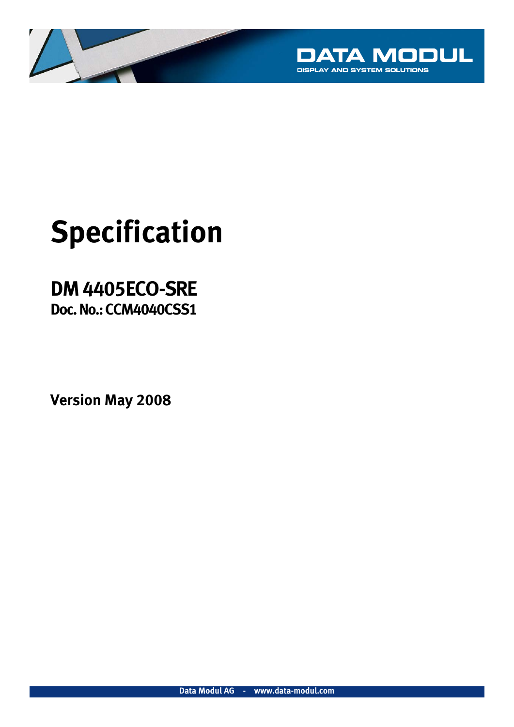

# **Specification**

## **DM 4405ECO-SRE Doc. No.: CCM4040CSS1**

**Version May 2008**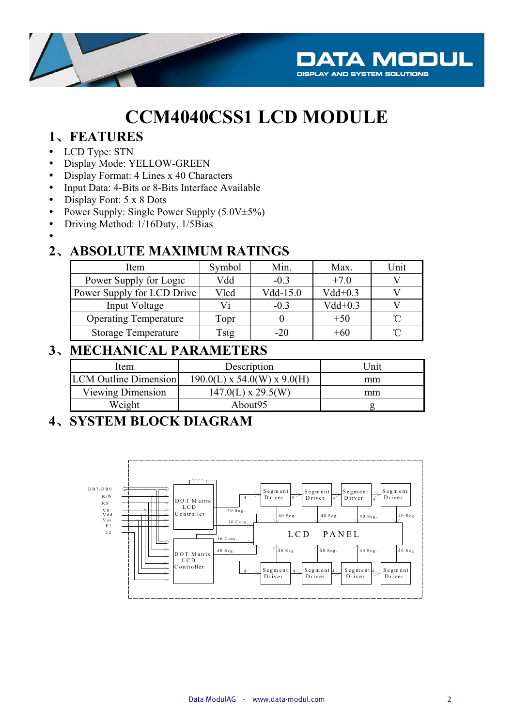

## **CCM4040CSS1 LCD MODULE**

#### 1、FEATURES

- LCD Type: STN
- $\bullet$ Display Mode: YELLOW-GREEN
- Display Format: 4 Lines x 40 Characters
- $\bullet$ Input Data: 4-Bits or 8-Bits Interface Available
- $\bullet$ Display Font: 5 x 8 Dots
- $\bullet$ Power Supply: Single Power Supply (5.0V±5%)
- $\bullet$ Driving Method: 1/16Duty, 1/5Bias
- -

#### **2**ǃ**ABSOLUTE MAXIMUM RATINGS**

| Item                         | Symbol | Min.       | Max.      | Unit |
|------------------------------|--------|------------|-----------|------|
| Power Supply for Logic       | Vdd    | $-0.3$     | $+7.0$    |      |
| Power Supply for LCD Drive   | Vlcd   | $Vdd-15.0$ | $Vdd+0.3$ |      |
| Input Voltage                | Vi     | $-0.3$     | $Vdd+0.3$ |      |
| <b>Operating Temperature</b> | Topr   |            | $+50$     |      |
| <b>Storage Temperature</b>   | Tstg   | $-20$      | +60       |      |

#### **3**ǃ**MECHANICAL PARAMETERS**

| Item                         | Description                   | Unit |
|------------------------------|-------------------------------|------|
| <b>LCM</b> Outline Dimension | $190.0(L)$ x 54.0(W) x 9.0(H) | mm   |
| Viewing Dimension            | $147.0(L) \times 29.5(W)$     | mm   |
| Weight                       | About95                       |      |

#### **4**ǃ**SYSTEM BLOCK DIAGRAM**

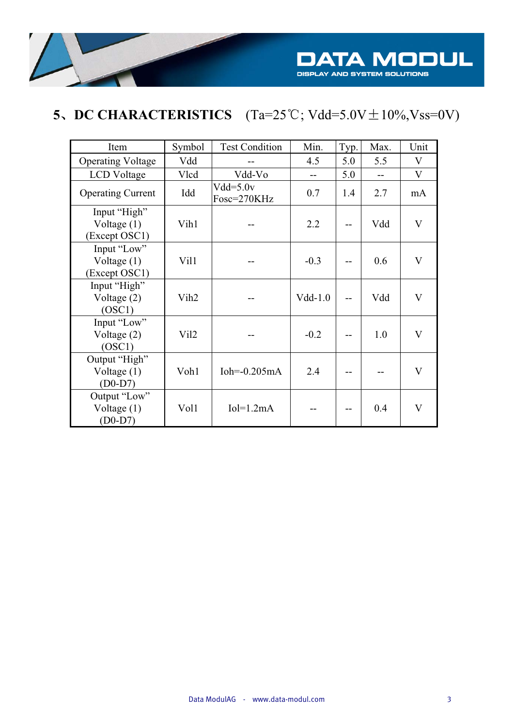

## **5**, **DC CHARACTERISTICS**  $(Ta=25^{\circ}C; Vdd=5.0V \pm 10\%, Vss=0V)$

| Item                                           | Symbol           | <b>Test Condition</b>     | Min.      | Typ. | Max.           | Unit                    |
|------------------------------------------------|------------------|---------------------------|-----------|------|----------------|-------------------------|
| <b>Operating Voltage</b>                       | Vdd              |                           | 4.5       | 5.0  | 5.5            | V                       |
| <b>LCD</b> Voltage                             | Vlcd             | Vdd-Vo                    | $-$       | 5.0  | $\overline{a}$ | V                       |
| <b>Operating Current</b>                       | Idd              | $Vdd=5.0v$<br>Fosc=270KHz | 0.7       | 1.4  | 2.7            | mA                      |
| Input "High"<br>Voltage $(1)$<br>(Except OSC1) | Vih1             |                           | 2.2       |      | Vdd            | V                       |
| Input "Low"<br>Voltage $(1)$<br>(Except OSC1)  | Vil1             |                           | $-0.3$    |      | 0.6            | V                       |
| Input "High"<br>Voltage $(2)$<br>(OSC1)        | Vih <sub>2</sub> |                           | $Vdd-1.0$ |      | Vdd            | V                       |
| Input "Low"<br>Voltage $(2)$<br>(OSC1)         | Vil2             |                           | $-0.2$    |      | 1.0            | $\overline{\mathsf{V}}$ |
| Output "High"<br>Voltage $(1)$<br>$(D0-D7)$    | Voh1             | Ioh= $-0.205mA$           | 2.4       |      |                | V                       |
| Output "Low"<br>Voltage $(1)$<br>$(D0-D7)$     | Vol1             | $Io = 1.2mA$              |           |      | 0.4            | V                       |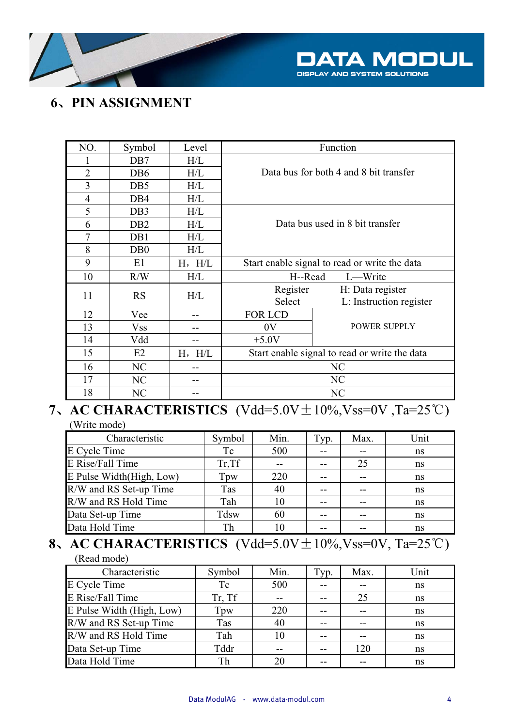

#### **6**ǃ**PIN ASSIGNMENT**

| NO.            | Symbol           | Level       | Function                                      |                                               |  |  |  |  |
|----------------|------------------|-------------|-----------------------------------------------|-----------------------------------------------|--|--|--|--|
| 1              | DB7              | H/L         |                                               |                                               |  |  |  |  |
| $\overline{2}$ | DB <sub>6</sub>  | H/L         | Data bus for both 4 and 8 bit transfer        |                                               |  |  |  |  |
| $\overline{3}$ | D <sub>B5</sub>  | H/L         |                                               |                                               |  |  |  |  |
| $\overline{4}$ | DB <sub>4</sub>  | H/L         |                                               |                                               |  |  |  |  |
| 5              | DB <sub>3</sub>  | H/L         |                                               |                                               |  |  |  |  |
| 6              | D <sub>B2</sub>  | H/L         |                                               | Data bus used in 8 bit transfer               |  |  |  |  |
| $\overline{7}$ | DB1              | H/L         |                                               |                                               |  |  |  |  |
| 8              | D <sub>B</sub> 0 | H/L         |                                               |                                               |  |  |  |  |
| 9              | E1               | $H$ , $H/L$ | Start enable signal to read or write the data |                                               |  |  |  |  |
| 10             | R/W              | H/L         | H--Read                                       | L—Write                                       |  |  |  |  |
| 11             | <b>RS</b>        | H/L         | Register                                      | H: Data register                              |  |  |  |  |
|                |                  |             | Select                                        | L: Instruction register                       |  |  |  |  |
| 12             | Vee              |             | <b>FOR LCD</b>                                |                                               |  |  |  |  |
| 13             | Vss              |             | 0V                                            | <b>POWER SUPPLY</b>                           |  |  |  |  |
| 14             | Vdd              |             | $+5.0V$                                       |                                               |  |  |  |  |
| 15             | E2               | $H$ , $H/L$ |                                               | Start enable signal to read or write the data |  |  |  |  |
| 16             | NC               |             | NC                                            |                                               |  |  |  |  |
| 17             | NC               |             | NC                                            |                                               |  |  |  |  |
| 18             | NC               |             | NC                                            |                                               |  |  |  |  |

#### **7.** AC CHARACTERISTICS (Vdd=5.0V $\pm 10\%$ ,Vss=0V ,Ta=25°C) (Write mode)

| Characteristic           | Symbol      | Min. | Typ. | Max. | Unit |
|--------------------------|-------------|------|------|------|------|
| E Cycle Time             | Tc          | 500  |      |      | ns   |
| E Rise/Fall Time         | Tr, Tf      |      |      | 25   | ns   |
| E Pulse Width(High, Low) | Tpw         | 220  |      |      | ns   |
| R/W and RS Set-up Time   | Tas         | 40   |      |      | ns   |
| R/W and RS Hold Time     | Tah         | 10   | --   |      | ns   |
| Data Set-up Time         | <b>Tdsw</b> | 60   |      |      | ns   |
| Data Hold Time           | Th          | 10   |      |      | ns   |

#### **8**, **AC CHARACTERISTICS** (Vdd=5.0V $\pm 10\%$ ,Vss=0V, Ta=25<sup>°</sup>C) (Read mode)

| Characteristic            | Symbol | Min. | Typ. | Max. | Unit |
|---------------------------|--------|------|------|------|------|
| E Cycle Time              | Tc     | 500  |      |      | ns   |
| E Rise/Fall Time          | Tr, Tf |      | --   | 25   | ns   |
| E Pulse Width (High, Low) | Tpw    | 220  | --   |      | ns   |
| R/W and RS Set-up Time    | Tas    | 40   |      |      | ns   |
| R/W and RS Hold Time      | Tah    | 10   |      |      | ns   |
| Data Set-up Time          | Tddr   |      |      | 120  | ns   |
| Data Hold Time            | Th     | 20   |      |      | ns   |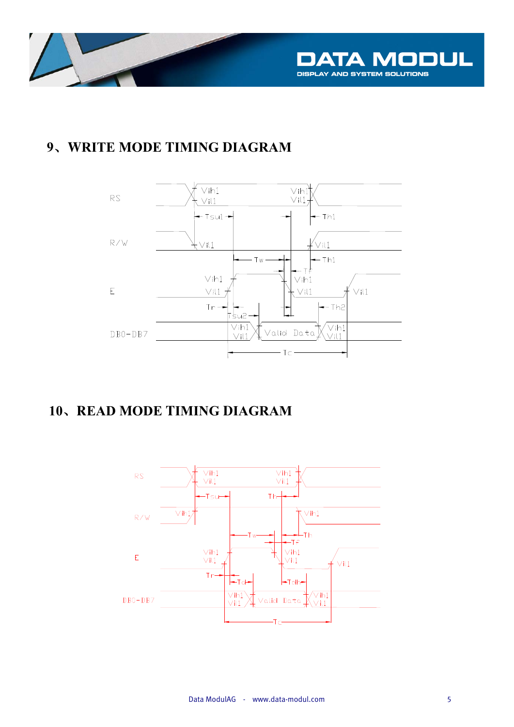

#### 9、WRITE MODE TIMING DIAGRAM



#### **10、READ MODE TIMING DIAGRAM**

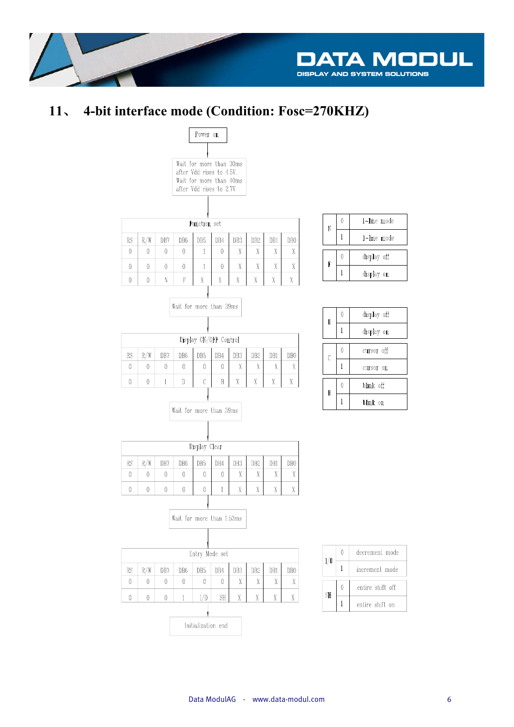

#### 4-bit interface mode (Condition: Fosc=270KHZ)  $11.$

| Wait for more than 30ms<br>after Vdd rises to 4.5V.<br>Wait for more than 40ms<br>after Vdd rises to 2.7V |                            |          |                           |                      |              |                 |                 |          |                 |  |  |  |
|-----------------------------------------------------------------------------------------------------------|----------------------------|----------|---------------------------|----------------------|--------------|-----------------|-----------------|----------|-----------------|--|--|--|
|                                                                                                           |                            |          |                           |                      |              |                 |                 |          |                 |  |  |  |
| Function set                                                                                              |                            |          |                           |                      |              |                 |                 |          |                 |  |  |  |
| R/W<br>RS<br>DB7<br>DB <sub>6</sub><br>DB <sub>5</sub><br>DB4<br>DB3<br>DB2<br>DB1<br>DB <sub>0</sub>     |                            |          |                           |                      |              |                 |                 |          |                 |  |  |  |
| 0                                                                                                         | 0                          | 0        | 0                         | 1                    | 0            | Χ               | X               | X        | Χ               |  |  |  |
| 0                                                                                                         | 0                          | 0        | 0                         | $\mathbf{1}$         | 0            | Χ               | Χ               | X        | Χ               |  |  |  |
| 0                                                                                                         | 0                          | N        | F                         | Χ                    | Χ            | Χ               | Χ               | Χ        | Χ               |  |  |  |
|                                                                                                           |                            |          |                           |                      |              |                 |                 |          |                 |  |  |  |
|                                                                                                           | Wait for more than 39ms    |          |                           |                      |              |                 |                 |          |                 |  |  |  |
|                                                                                                           |                            |          |                           |                      |              |                 |                 |          |                 |  |  |  |
|                                                                                                           |                            |          |                           |                      |              |                 |                 |          |                 |  |  |  |
| Display ON/OFF Control                                                                                    |                            |          |                           |                      |              |                 |                 |          |                 |  |  |  |
| RS                                                                                                        | R/W                        | DB7      | DB6                       | DB <sub>2</sub>      | DB1          | DB <sub>0</sub> |                 |          |                 |  |  |  |
| 0                                                                                                         | 0                          | 0        | 0                         | 0                    | 0            | Χ               | Χ               | X        | Χ               |  |  |  |
| 0                                                                                                         | Ć<br>0<br>1<br>D<br>B<br>Χ |          |                           |                      |              |                 |                 | Χ        | Χ               |  |  |  |
|                                                                                                           |                            |          |                           |                      |              |                 |                 |          |                 |  |  |  |
|                                                                                                           |                            |          | Wait for more than 39ms   |                      |              |                 |                 |          |                 |  |  |  |
|                                                                                                           |                            |          |                           |                      |              |                 |                 |          |                 |  |  |  |
|                                                                                                           |                            |          |                           |                      |              |                 |                 |          |                 |  |  |  |
|                                                                                                           |                            |          |                           | Display Clear        |              |                 |                 |          |                 |  |  |  |
| RS                                                                                                        | R/W                        | DB7      | DB6                       | DB <sub>5</sub>      | DB4          | DB3             | DB <sub>2</sub> | DB1      | DB <sub>0</sub> |  |  |  |
| 0                                                                                                         | 0                          | 0        | 0                         | 0                    | 0            | Χ               | Χ               | Χ        | Χ               |  |  |  |
| 0                                                                                                         | 0                          | 0        | 0                         | 0                    | $\mathbf{1}$ | Χ               | Χ               | Χ        | Χ               |  |  |  |
|                                                                                                           |                            |          |                           |                      |              |                 |                 |          |                 |  |  |  |
|                                                                                                           |                            |          | Wait for more than 1.53ms |                      |              |                 |                 |          |                 |  |  |  |
|                                                                                                           |                            |          |                           |                      |              |                 |                 |          |                 |  |  |  |
|                                                                                                           |                            |          |                           |                      |              |                 |                 |          |                 |  |  |  |
|                                                                                                           | Entry Mode set             |          |                           |                      |              |                 |                 |          |                 |  |  |  |
| RS<br>0                                                                                                   | R/W<br>0                   | DB7<br>0 | DB <sub>6</sub><br>0      | DB <sub>5</sub><br>0 | DB4<br>0     | DB3<br>Χ        | DB2<br>X        | DB1<br>Χ | DB0<br>Χ        |  |  |  |
|                                                                                                           |                            |          |                           |                      |              |                 |                 |          |                 |  |  |  |
| 0                                                                                                         | $\pmb{0}$                  | 0        | $\mathbf{1}$              | I/D                  | βH           | Χ               | Χ               | X        | X               |  |  |  |

| N | 0 | 1-line mode |
|---|---|-------------|
|   |   | 1-line mode |
| F | 0 | display off |
|   |   | display on  |

| D | N | display off |
|---|---|-------------|
|   |   | display on  |
|   |   |             |
| C | 0 | cursor off  |
|   |   | cursor on   |
|   |   |             |
| B | N | blink off   |
|   |   | blink on    |
|   |   |             |

| Wait for more than 1.53ms |                 |                 |     |     |                 |     |                 |  |  |  |  |
|---------------------------|-----------------|-----------------|-----|-----|-----------------|-----|-----------------|--|--|--|--|
|                           |                 |                 |     |     |                 |     |                 |  |  |  |  |
| Entry Mode set            |                 |                 |     |     |                 |     |                 |  |  |  |  |
| DB7                       | DB <sub>6</sub> | DB <sub>5</sub> | DB4 | DB3 | DB <sub>2</sub> | DB1 | DB <sub>0</sub> |  |  |  |  |
| 0                         |                 |                 |     | Χ   | X               | Χ   | Χ               |  |  |  |  |
|                           |                 | /h              | dц  | Y   | Y               | Y   | Y               |  |  |  |  |

Initialization end

| I/D | Λ | decrement mode   |
|-----|---|------------------|
|     |   | increment mode   |
|     |   |                  |
| ŚH  | N | entire shift off |
|     |   | entire shift on  |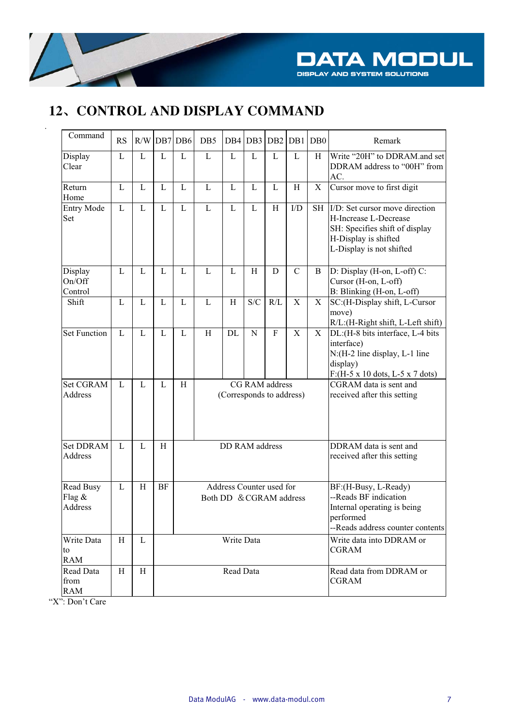

## 12、CONTROL AND DISPLAY COMMAND

| Command                                  | <b>RS</b>    |   | $R/W$ DB7 DB6 |   | DB5                                                 | DB <sub>4</sub> | DB <sub>3</sub> | D <sub>B2</sub> | DB1           | $\overline{DB0}$                         | Remark                                                                                                                                        |
|------------------------------------------|--------------|---|---------------|---|-----------------------------------------------------|-----------------|-----------------|-----------------|---------------|------------------------------------------|-----------------------------------------------------------------------------------------------------------------------------------------------|
| Display<br>Clear                         | $\mathbf{L}$ | L | L             | L | $\overline{L}$                                      | L               | L               | L               | L             | H                                        | Write "20H" to DDRAM.and set<br>DDRAM address to "00H" from<br>AC.                                                                            |
| Return<br>Home                           | $\mathbf{L}$ | L | L             | L | $\overline{L}$                                      | L               | L               | L               | H             | $\boldsymbol{\mathrm{X}}$                | Cursor move to first digit                                                                                                                    |
| <b>Entry Mode</b><br>Set                 | L            | L | L             | L | $\mathbf{L}$                                        | L               | $\mathbf{L}$    | H               | I/D           | <b>SH</b>                                | I/D: Set cursor move direction<br>H-Increase L-Decrease<br>SH: Specifies shift of display<br>H-Display is shifted<br>L-Display is not shifted |
| Display<br>On/Off<br>Control             | $\mathbf{L}$ | L | L             | L | L                                                   | L               | $\rm H$         | $\mathbf D$     | $\mathcal{C}$ | B                                        | D: Display (H-on, L-off) C:<br>Cursor (H-on, L-off)<br>B: Blinking (H-on, L-off)                                                              |
| Shift                                    | $\mathbf{L}$ | L | L             | L | L                                                   | H               | S/C             | R/L             | $\mathbf X$   | $\boldsymbol{\mathrm{X}}$                | SC:(H-Display shift, L-Cursor<br>move)<br>R/L:(H-Right shift, L-Left shift)                                                                   |
| <b>Set Function</b>                      | L            | L | L             | L | H                                                   | DL              | N               | F               | $\mathbf X$   | X                                        | DL: (H-8 bits interface, L-4 bits<br>interface)<br>N:(H-2 line display, L-1 line<br>display)<br>F:(H-5 x 10 dots, L-5 x 7 dots)               |
| <b>Set CGRAM</b><br>Address              | L            | L | L             | H | CG RAM address<br>(Corresponds to address)          |                 |                 |                 |               |                                          | CGRAM data is sent and<br>received after this setting                                                                                         |
| <b>Set DDRAM</b><br>Address              | L            | L | H             |   |                                                     | DD RAM address  |                 |                 |               |                                          | DDRAM data is sent and<br>received after this setting                                                                                         |
| <b>Read Busy</b><br>Flag $\&$<br>Address | L            | H | BF            |   | Address Counter used for<br>Both DD & CGRAM address |                 |                 |                 |               |                                          | BF:(H-Busy, L-Ready)<br>--Reads BF indication<br>Internal operating is being<br>performed<br>--Reads address counter contents                 |
| Write Data<br>to<br><b>RAM</b>           | Η            | L |               |   | Write Data                                          |                 |                 |                 |               | Write data into DDRAM or<br><b>CGRAM</b> |                                                                                                                                               |
| Read Data<br>from<br><b>RAM</b>          | Η            | H |               |   |                                                     | Read Data       |                 |                 |               |                                          | Read data from DDRAM or<br><b>CGRAM</b>                                                                                                       |

"X": Don't Care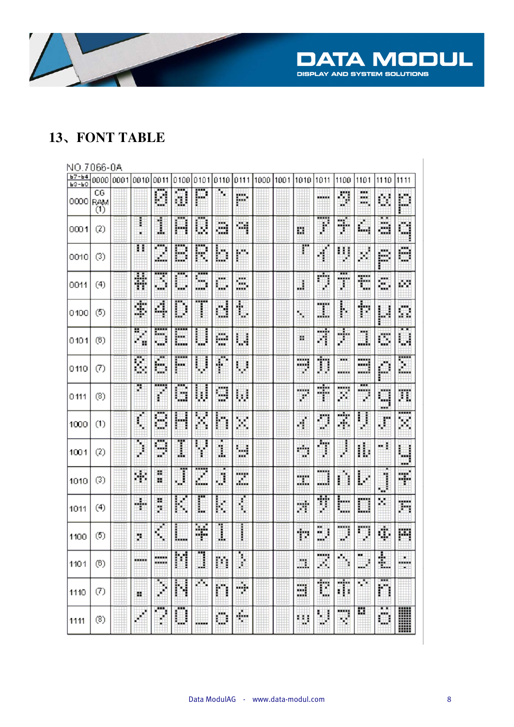

#### 13、FONT TABLE

#### NO 7066-0A

| Ь7-Ь4<br><b>63-60</b> |                         | 000010001 | 10010  | 0011              | 0100                     | 101011        | 0110                | 0111        | 1000 1001 | 1010               | 1011                | 1100                | 1101                      | 1110                                                                                                                                                                                                                                                                                                                                                                                                                  | 1111             |
|-----------------------|-------------------------|-----------|--------|-------------------|--------------------------|---------------|---------------------|-------------|-----------|--------------------|---------------------|---------------------|---------------------------|-----------------------------------------------------------------------------------------------------------------------------------------------------------------------------------------------------------------------------------------------------------------------------------------------------------------------------------------------------------------------------------------------------------------------|------------------|
| 0000                  | CG<br><b>RAM</b><br>(1) |           |        | G                 | a                        | P             | r.                  | ш           |           |                    | <b>MARKET</b>       | IJ                  | <b>MARK</b><br>xxx<br>жe, | Ö,                                                                                                                                                                                                                                                                                                                                                                                                                    | Þ                |
| 0001                  | (2)                     |           | l      | 1                 | H                        | U             | ш<br>- 3            | 燗           |           | Ľ,                 | ł                   | Ŧ.                  | $\phi$<br>si i            | . .<br>m,<br>---                                                                                                                                                                                                                                                                                                                                                                                                      | Ċ.               |
| 0010                  | (3)                     |           | п      | <br>z.            | B                        | H             | D                   | r,          |           | r                  | H,                  | IJ                  | 矊                         | E.                                                                                                                                                                                                                                                                                                                                                                                                                    | <b>MAR</b><br>C) |
| 0011                  | (4)                     |           | Ħ      | 3<br><b>Truck</b> | D                        | Ŧ<br>SH.<br>  | ш<br>ш              | m<br>u.     |           | J                  | ņ                   | T                   | t                         | ă,                                                                                                                                                                                                                                                                                                                                                                                                                    | Ø.               |
| 0100                  | (5)                     |           | \$     | 糊                 | D                        |               | d                   | ۱           |           | liy                | I                   | ļ.                  | þ                         | IJ                                                                                                                                                                                                                                                                                                                                                                                                                    | Ċ,               |
| 0101                  | (6)                     |           | H<br>× | <br>m<br>1440     | E                        | I<br>ĵ<br>    | e                   | ш           |           | ш                  | A                   | ¢                   | <b>Mag</b><br>ш           | C,                                                                                                                                                                                                                                                                                                                                                                                                                    | $\cdot$<br>U     |
| 0110                  | (7)                     |           | ē,     | Ø<br>Ċ,           | F                        | U             | ₽                   | W           |           | ≕<br>z             | Π                   | XX.<br>             | m<br>                     | f.                                                                                                                                                                                                                                                                                                                                                                                                                    | port.<br>ă.      |
| 0111                  | (8)                     |           | g      | ♦                 | <br>D                    | U             | <b>SOF</b><br>щ<br> | ш           |           | sin ng<br>×        | Ŧ                   | <br>J.              | <br><b>ANNA</b><br>U.     | a                                                                                                                                                                                                                                                                                                                                                                                                                     | π                |
| 1000                  | (1)                     |           | ŧ      | 8                 | H                        | H             | h                   | ×           |           | 4                  | ŋ                   | 7                   | 串<br>Ē                    | $\phi^{\!\!\!\!\!/\,\!\!\!\!/\,\!\!\!\!/\,\!\!\!\!/\,\!\!\!\!/\,\!\!\!\!/\,\!\!\!\!/\,\!\!\!\!/\,\!\!\!\!/\,\!\!\!\!/\,\!\!\!\!/\,\!\!\!\!/\,\!\!\!\!/\,\!\!\!\!/\,\!\!\!\!/\,\!\!\!\!/\,\!\!\!\!/\,\!\!\!\!/\,\!\!\!\!/\,\!\!\!\!/\,\!\!\!\!/\,\!\!\!\!/\,\!\!\!\!/\,\!\!\!\!/\,\!\!\!\!/\,\!\!\!\!/\,\!\!\!\!/\,\!\!\!\!/\,\!\!\!\!/\,\!\!\!\!/\,\!\!\!\!/\,\!\!\!\!/\,\!\!\!\!/\,\!\!\!\!/\,\!\!\!\!/\,\!\!\!\!/\$ | <br>×            |
| 1001                  | (2)                     |           | Ï      | <br>œ<br>w        | I                        | H             | t                   | ш,<br>wa ka |           | m.<br>w            | T                   | f                   | đ,                        | - 1                                                                                                                                                                                                                                                                                                                                                                                                                   | u<br><b>MAG</b>  |
| 1010                  | (3)                     |           | ×      | m<br>ж            | Ţ                        | ш<br>ф<br>ЮU. | Ħ                   | men<br>x.   |           | <b>MARK</b><br>ada | sistem.<br>鼺        | ۹<br>i              | Ļ.                        | j                                                                                                                                                                                                                                                                                                                                                                                                                     | Ŧ.               |
| 1011                  | (4)                     |           | ÷      | ж<br>ÿ.           | ŀ.                       | Ī             | ŧ                   | Í,          |           | y.                 | Ţ                   | Ħ<br><b>Side of</b> | О                         | ×                                                                                                                                                                                                                                                                                                                                                                                                                     | Ħ                |
| 1100                  | (5)                     |           | ×      | $\phi$<br>步       | L                        | ¥             | l                   | I           |           | Ť.                 | ×.<br>₩             | m<br>w              | ņ                         | Ù,                                                                                                                                                                                                                                                                                                                                                                                                                    | m                |
| 1101                  | (6)                     |           |        | -                 | <b>Service</b><br>I<br>H | m<br>J        | m                   | Ï           |           | m.                 | <b>MARKET</b><br>A, | u t<br>Ý,           | w.<br>$\#$                | ٠<br>Ŧ.                                                                                                                                                                                                                                                                                                                                                                                                               | ----<br>×        |
| 1110                  | (7)                     |           | ш      | J                 | N                        | ×.            | n                   | ÷           |           | 畐                  | Ξ                   | 市                   | 僻                         | <br>n                                                                                                                                                                                                                                                                                                                                                                                                                 |                  |
| 1111                  | (8)                     |           |        | X<br>۰            | <br>O                    |               | O                   | ÷           |           | ш                  | Π                   | W                   | ä                         | C,                                                                                                                                                                                                                                                                                                                                                                                                                    | I                |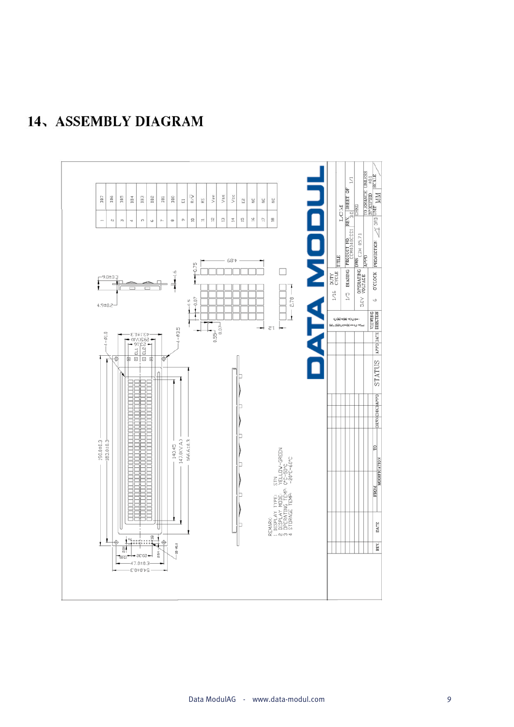

## 14、ASSEMBLY DIAGRAM